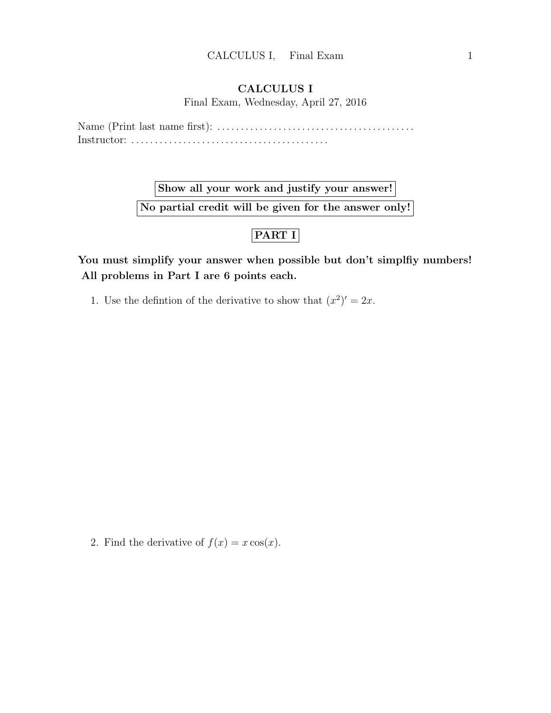## CALCULUS I

Final Exam, Wednesday, April 27, 2016

Name (Print last name first): . . . . . . . . . . . . . . . . . . . . . . . . . . . . . . . . . . . . . . . . . . Instructor: . . . . . . . . . . . . . . . . . . . . . . . . . . . . . . . . . . . . . . . . . .

> Show all your work and justify your answer! No partial credit will be given for the answer only!

## PART I

You must simplify your answer when possible but don't simplfiy numbers! All problems in Part I are 6 points each.

1. Use the definiton of the derivative to show that  $(x^2)' = 2x$ .

2. Find the derivative of  $f(x) = x \cos(x)$ .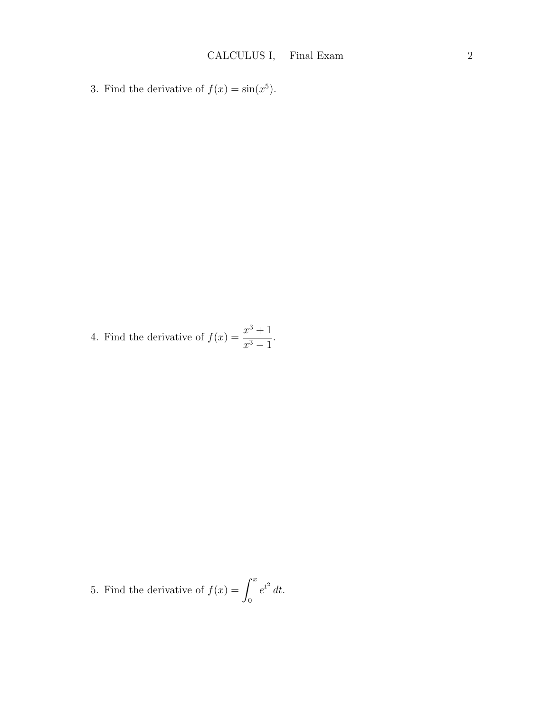3. Find the derivative of  $f(x) = \sin(x^5)$ .

4. Find the derivative of 
$$
f(x) = \frac{x^3 + 1}{x^3 - 1}
$$
.

5. Find the derivative of 
$$
f(x) = \int_0^x e^{t^2} dt
$$
.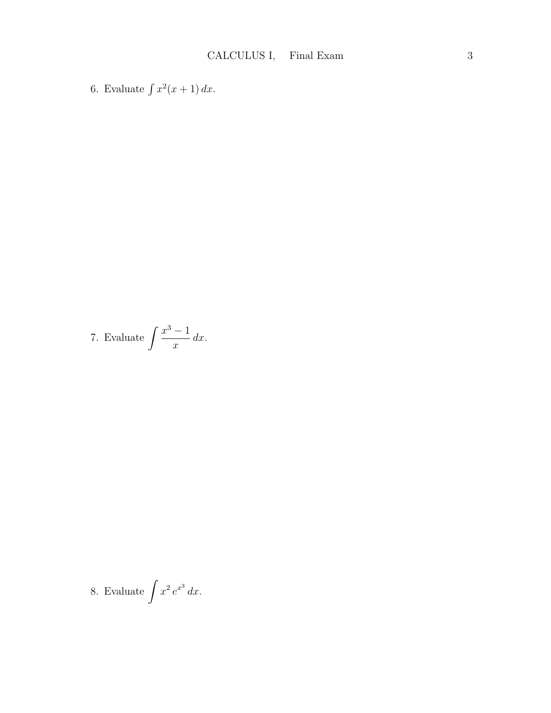6. Evaluate  $\int x^2(x+1) dx$ .

7. Evaluate 
$$
\int \frac{x^3 - 1}{x} dx.
$$

8. Evaluate 
$$
\int x^2 e^{x^3} dx
$$
.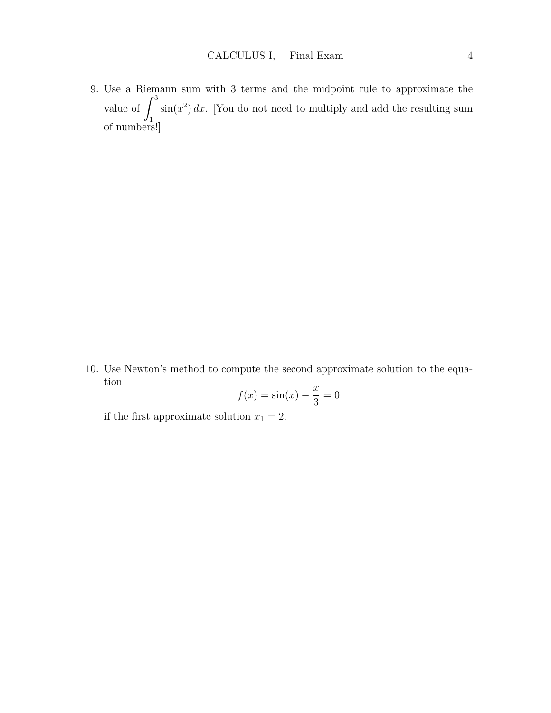9. Use a Riemann sum with 3 terms and the midpoint rule to approximate the value of  $\int_0^3$ 1  $\sin(x^2) dx$ . [You do not need to multiply and add the resulting sum of numbers!]

10. Use Newton's method to compute the second approximate solution to the equation

$$
f(x) = \sin(x) - \frac{x}{3} = 0
$$

if the first approximate solution  $x_1 = 2$ .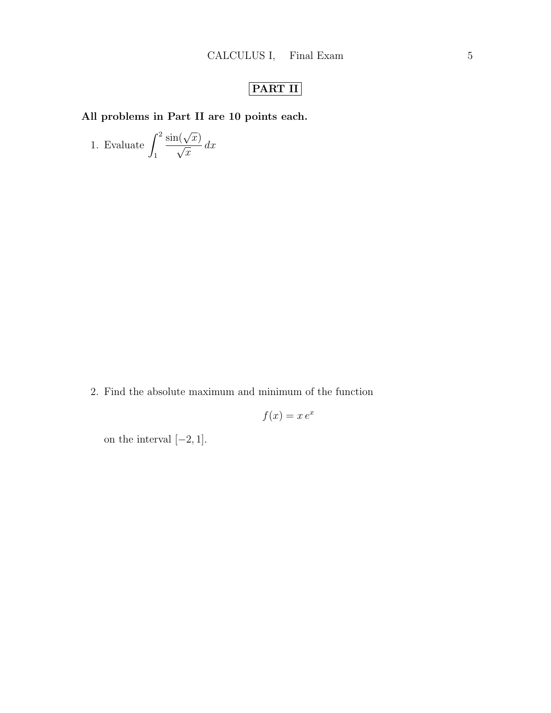## PART II

All problems in Part II are 10 points each.

1. Evaluate 
$$
\int_1^2 \frac{\sin(\sqrt{x})}{\sqrt{x}} dx
$$

2. Find the absolute maximum and minimum of the function

$$
f(x) = x e^x
$$

on the interval  $[-2, 1]$ .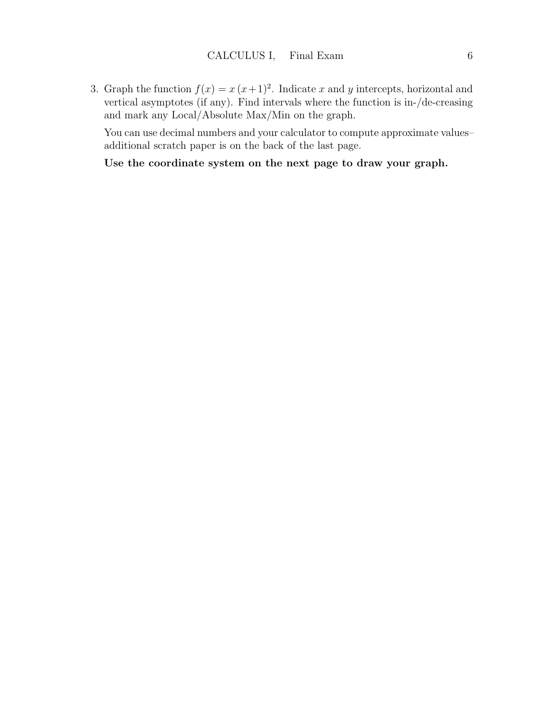3. Graph the function  $f(x) = x(x+1)^2$ . Indicate x and y intercepts, horizontal and vertical asymptotes (if any). Find intervals where the function is in-/de-creasing and mark any Local/Absolute Max/Min on the graph.

You can use decimal numbers and your calculator to compute approximate values– additional scratch paper is on the back of the last page.

Use the coordinate system on the next page to draw your graph.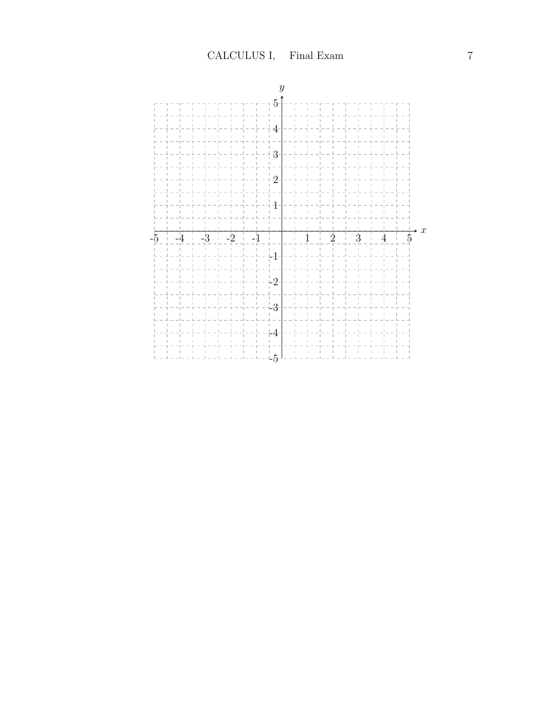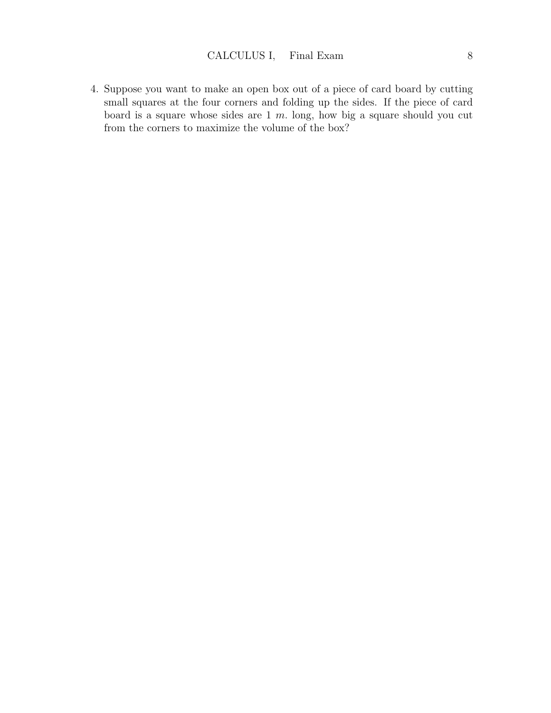4. Suppose you want to make an open box out of a piece of card board by cutting small squares at the four corners and folding up the sides. If the piece of card board is a square whose sides are  $1 \, m$ . long, how big a square should you cut from the corners to maximize the volume of the box?